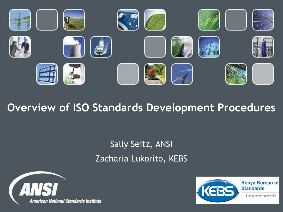

## **Overview of ISO Standards Development Procedures**

## Sally Seitz, ANSI Zacharia Lukorito, KEBS



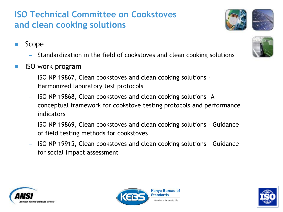### **ISO Technical Committee on Cookstoves and clean cooking solutions**

- Scope
	- $-$  Standardization in the field of cookstoves and clean cooking solutions
- ISO work program
	- $-$  ISO NP 19867, Clean cookstoves and clean cooking solutions -Harmonized laboratory test protocols
	- ISO NP 19868, Clean cookstoves and clean cooking solutions -A conceptual framework for cookstove testing protocols and performance indicators
	- ISO NP 19869, Clean cookstoves and clean cooking solutions Guidance of field testing methods for cookstoves
	- ISO NP 19915, Clean cookstoves and clean cooking solutions Guidance for social impact assessment









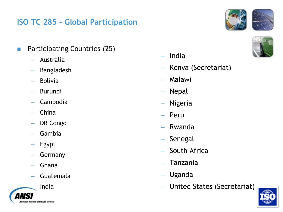### **ISO TC 285 – Global Participation**

- **Participating Countries (25)** 
	- Australia
	- Bangladesh
	- Bolivia
	- Burundi
	- Cambodia
	- China
	- DR Congo
	- Gambia
	- Egypt
	- Germany
	- Ghana
	- Guatemala



- $-$  India
- Kenya (Secretariat)
- Malawi
- Nepal
- Nigeria
- Peru
- Rwanda
- Senegal
- South Africa
- Tanzania
- Uganda
- United States (Secretariat)





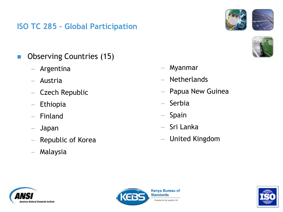### **ISO TC 285 – Global Participation**





- **Observing Countries (15)** 
	- Argentina
	- Austria
	- Czech Republic
	- Ethiopia
	- $-$  Finland
	- Japan
	- Republic of Korea
	- Malaysia
- Myanmar
- Netherlands
- Papua New Guinea
- Serbia
- Spain
- Sri Lanka
- United Kingdom





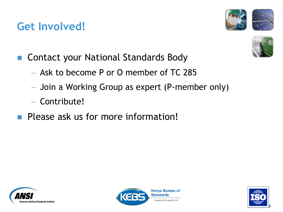## **Get Involved!**





- Contact your National Standards Body
	- Ask to become P or O member of TC 285
	- Join a Working Group as expert (P-member only)
	- Contribute!
- **Please ask us for more information!**





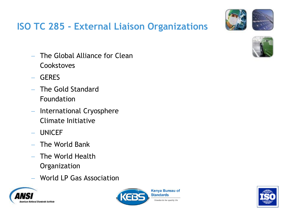

## **ISO TC 285 - External Liaison Organizations**

- The Global Alliance for Clean **Cookstoves**
- GERES
- The Gold Standard Foundation
- International Cryosphere Climate Initiative
- UNICEF
- $-$  The World Bank
- The World Health **Organization**
- World LP Gas Association







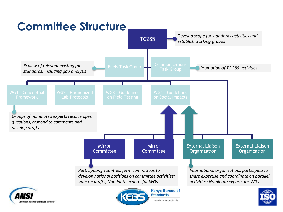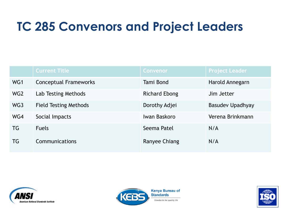# **TC 285 Convenors and Project Leaders**

|                 | <b>Current Title</b>         | <b>Convenor</b>      | <b>Project Leader</b>   |
|-----------------|------------------------------|----------------------|-------------------------|
| WG1             | <b>Conceptual Frameworks</b> | Tami Bond            | Harold Annegarn         |
| WG <sub>2</sub> | Lab Testing Methods          | <b>Richard Ebong</b> | Jim Jetter              |
| WG3             | <b>Field Testing Methods</b> | Dorothy Adjei        | <b>Basudev Upadhyay</b> |
| WG4             | Social Impacts               | Iwan Baskoro         | Verena Brinkmann        |
| TG              | <b>Fuels</b>                 | Seema Patel          | N/A                     |
| TG              | Communications               | Ranyee Chiang        | N/A                     |





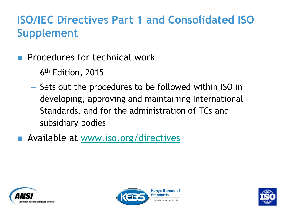# **ISO/IEC Directives Part 1 and Consolidated ISO Supplement**

- Procedures for technical work
	- 6<sup>th</sup> Edition, 2015
	- Sets out the procedures to be followed within ISO in developing, approving and maintaining International Standards, and for the administration of TCs and subsidiary bodies
- **Available at [www.iso.org/directives](http://www.iso.org/directives)**





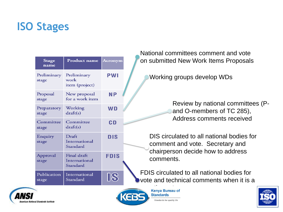## **ISO Stages**

| i valivi id<br>on subn      | Acronym     | Product name                             | <b>Stage</b><br>name |
|-----------------------------|-------------|------------------------------------------|----------------------|
| Worl                        | <b>PWI</b>  | Preliminary<br>work<br>item (project)    | Preliminary<br>stage |
|                             | <b>NP</b>   | New proposal<br>for a work item          | Proposal<br>stage    |
|                             | <b>WD</b>   | Working<br>draff(s)                      | Preparatory<br>stage |
|                             | CD          | Committee<br>draff(s)                    | Committee<br>stage   |
| DIS.<br>com                 | <b>DIS</b>  | Draft<br>International<br>Standard       | Enquiry<br>stage     |
| chai<br>com                 | <b>FDIS</b> | Final draft<br>International<br>Standard | Approval<br>stage    |
| <b>FDIS cil</b><br>vote and | <b>18</b>   | International<br>Standard                | Publication<br>stage |

National committees comment and vote nitted New Work Items Proposals

king groups develop WDs

Review by national committees (Pand O-members of TC 285), Address comments received

circulated to all national bodies for ment and vote. Secretary and rperson decide how to address ments.

rculated to all national bodies for d technical comments when it is a





Kenya Bureau of **Standards** Standards for quality life

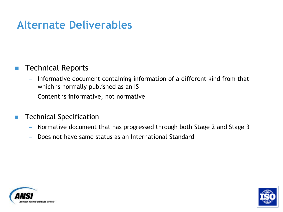## **Alternate Deliverables**

### Technical Reports

- $I$  Informative document containing information of a different kind from that which is normally published as an IS
- $-$  Content is informative, not normative
- Technical Specification
	- Normative document that has progressed through both Stage 2 and Stage 3
	- Does not have same status as an International Standard



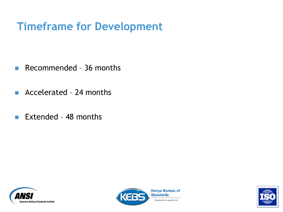# **Timeframe for Development**

- Recommended 36 months
- **Accelerated 24 months**
- Extended 48 months